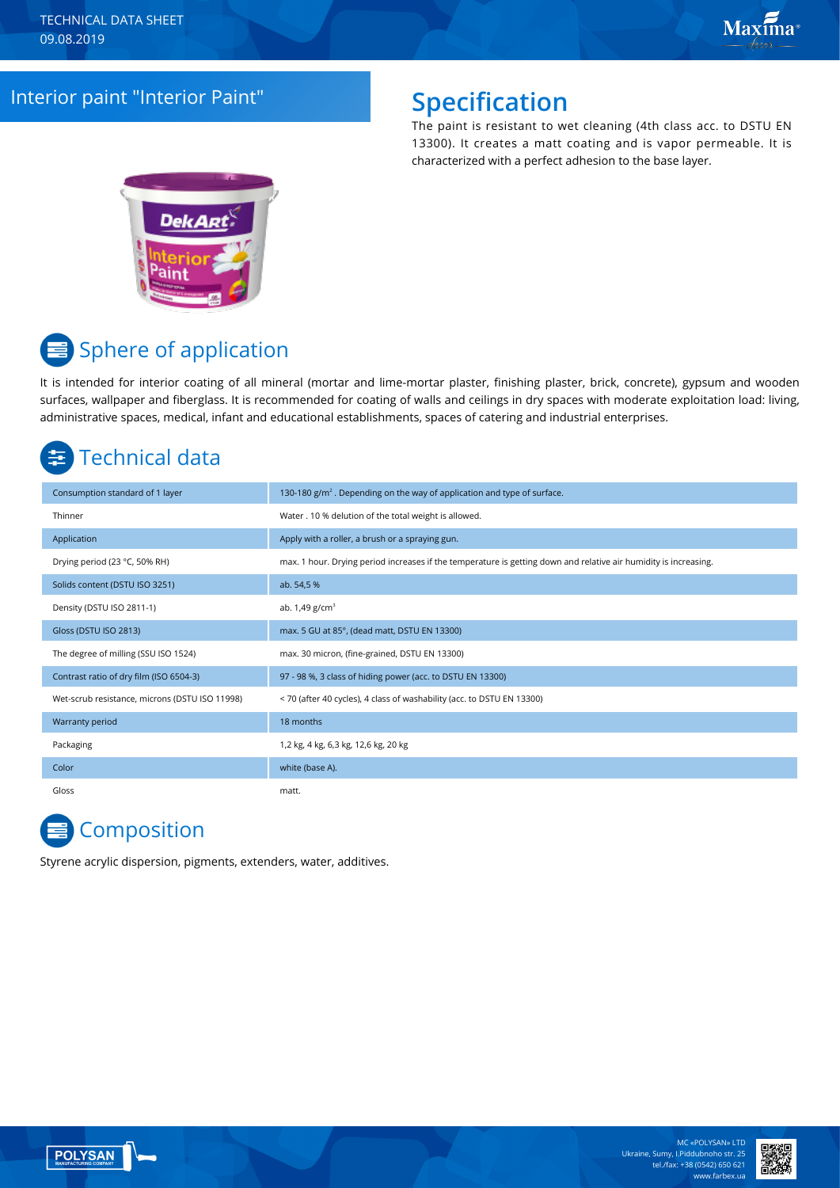### Interior paint "Interior Paint" **Specification**

The paint is resistant to wet cleaning (4th class acc. to DSTU EN 13300). It creates a matt coating and is vapor permeable. It is characterized with a perfect adhesion to the base layer.



# **■ Sphere of application**

It is intended for interior coating of all mineral (mortar and lime-mortar plaster, finishing plaster, brick, concrete), gypsum and wooden surfaces, wallpaper and fiberglass. It is recommended for coating of walls and ceilings in dry spaces with moderate exploitation load: living, administrative spaces, medical, infant and educational establishments, spaces of catering and industrial enterprises.

# Technical data

| Consumption standard of 1 layer                | 130-180 $g/m2$ . Depending on the way of application and type of surface.                                        |
|------------------------------------------------|------------------------------------------------------------------------------------------------------------------|
| Thinner                                        | Water . 10 % delution of the total weight is allowed.                                                            |
| Application                                    | Apply with a roller, a brush or a spraying gun.                                                                  |
| Drying period (23 °C, 50% RH)                  | max. 1 hour. Drying period increases if the temperature is getting down and relative air humidity is increasing. |
| Solids content (DSTU ISO 3251)                 | ab. 54,5 %                                                                                                       |
| Density (DSTU ISO 2811-1)                      | ab. $1,49$ g/cm <sup>3</sup>                                                                                     |
| Gloss (DSTU ISO 2813)                          | max. 5 GU at 85°, (dead matt, DSTU EN 13300)                                                                     |
| The degree of milling (SSU ISO 1524)           | max. 30 micron, (fine-grained, DSTU EN 13300)                                                                    |
| Contrast ratio of dry film (ISO 6504-3)        | 97 - 98 %, 3 class of hiding power (acc. to DSTU EN 13300)                                                       |
| Wet-scrub resistance, microns (DSTU ISO 11998) | < 70 (after 40 cycles), 4 class of washability (acc. to DSTU EN 13300)                                           |
| Warranty period                                | 18 months                                                                                                        |
| Packaging                                      | 1,2 kg, 4 kg, 6,3 kg, 12,6 kg, 20 kg                                                                             |
| Color                                          | white (base A).                                                                                                  |
| Gloss                                          | matt.                                                                                                            |

### **Composition**

Styrene acrylic dispersion, pigments, extenders, water, additives.